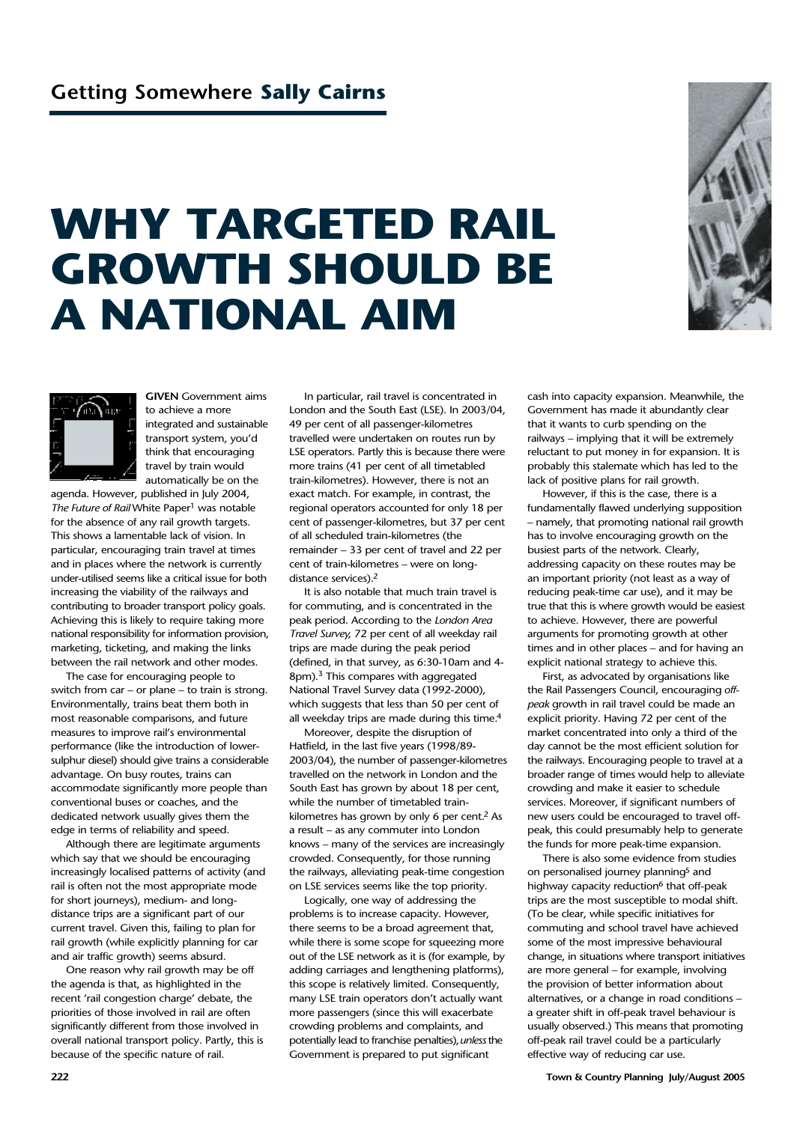## **WHY TARGETED RAIL GROWTH SHOULD BE A NATIONAL AIM**





**GIVEN** Government aims to achieve a more integrated and sustainable transport system, you'd think that encouraging travel by train would automatically be on the

agenda. However, published in July 2004, *The Future of Rail* White Paper<sup>1</sup> was notable for the absence of any rail growth targets. This shows a lamentable lack of vision. In particular, encouraging train travel at times and in places where the network is currently under-utilised seems like a critical issue for both increasing the viability of the railways and contributing to broader transport policy goals. Achieving this is likely to require taking more national responsibility for information provision, marketing, ticketing, and making the links between the rail network and other modes.

The case for encouraging people to switch from car – or plane – to train is strong. Environmentally, trains beat them both in most reasonable comparisons, and future measures to improve rail's environmental performance (like the introduction of lowersulphur diesel) should give trains a considerable advantage. On busy routes, trains can accommodate significantly more people than conventional buses or coaches, and the dedicated network usually gives them the edge in terms of reliability and speed.

Although there are legitimate arguments which say that we should be encouraging increasingly localised patterns of activity (and rail is often not the most appropriate mode for short journeys), medium- and longdistance trips are a significant part of our current travel. Given this, failing to plan for rail growth (while explicitly planning for car and air traffic growth) seems absurd.

One reason why rail growth may be off the agenda is that, as highlighted in the recent 'rail congestion charge' debate, the priorities of those involved in rail are often significantly different from those involved in overall national transport policy. Partly, this is because of the specific nature of rail.

In particular, rail travel is concentrated in London and the South East (LSE). In 2003/04, 49 per cent of all passenger-kilometres travelled were undertaken on routes run by LSE operators. Partly this is because there were more trains (41 per cent of all timetabled train-kilometres). However, there is not an exact match. For example, in contrast, the regional operators accounted for only 18 per cent of passenger-kilometres, but 37 per cent of all scheduled train-kilometres (the remainder – 33 per cent of travel and 22 per cent of train-kilometres – were on longdistance services).2

It is also notable that much train travel is for commuting, and is concentrated in the peak period. According to the *London Area Travel Survey*, 72 per cent of all weekday rail trips are made during the peak period (defined, in that survey, as 6:30-10am and 4- 8pm).<sup>3</sup> This compares with aggregated National Travel Survey data (1992-2000), which suggests that less than 50 per cent of all weekday trips are made during this time.<sup>4</sup>

Moreover, despite the disruption of Hatfield, in the last five years (1998/89- 2003/04), the number of passenger-kilometres travelled on the network in London and the South East has grown by about 18 per cent, while the number of timetabled trainkilometres has grown by only 6 per cent.2 As a result – as any commuter into London knows – many of the services are increasingly crowded. Consequently, for those running the railways, alleviating peak-time congestion on LSE services seems like the top priority.

Logically, one way of addressing the problems is to increase capacity. However, there seems to be a broad agreement that, while there is some scope for squeezing more out of the LSE network as it is (for example, by adding carriages and lengthening platforms), this scope is relatively limited. Consequently, many LSE train operators don't actually want more passengers (since this will exacerbate crowding problems and complaints, and potentially lead to franchise penalties), *unless*the Government is prepared to put significant

cash into capacity expansion. Meanwhile, the Government has made it abundantly clear that it wants to curb spending on the railways – implying that it will be extremely reluctant to put money in for expansion. It is probably this stalemate which has led to the lack of positive plans for rail growth.

However, if this is the case, there is a fundamentally flawed underlying supposition – namely, that promoting national rail growth has to involve encouraging growth on the busiest parts of the network. Clearly, addressing capacity on these routes may be an important priority (not least as a way of reducing peak-time car use), and it may be true that this is where growth would be easiest to achieve. However, there are powerful arguments for promoting growth at other times and in other places – and for having an explicit national strategy to achieve this.

First, as advocated by organisations like the Rail Passengers Council, encouraging *offpeak* growth in rail travel could be made an explicit priority. Having 72 per cent of the market concentrated into only a third of the day cannot be the most efficient solution for the railways. Encouraging people to travel at a broader range of times would help to alleviate crowding and make it easier to schedule services. Moreover, if significant numbers of new users could be encouraged to travel offpeak, this could presumably help to generate the funds for more peak-time expansion.

There is also some evidence from studies on personalised journey planning<sup>5</sup> and highway capacity reduction<sup>6</sup> that off-peak trips are the most susceptible to modal shift. (To be clear, while specific initiatives for commuting and school travel have achieved some of the most impressive behavioural change, in situations where transport initiatives are more general – for example, involving the provision of better information about alternatives, or a change in road conditions – a greater shift in off-peak travel behaviour is usually observed.) This means that promoting off-peak rail travel could be a particularly effective way of reducing car use.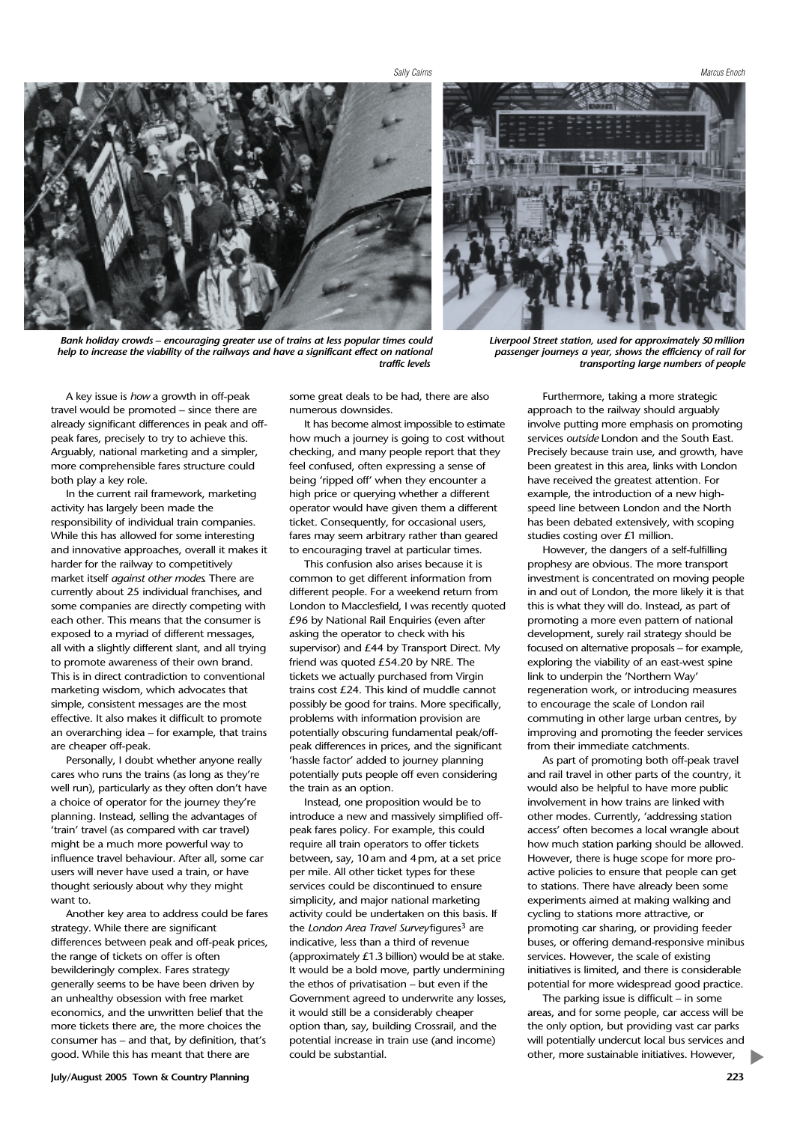*Sally Cairns Marcus Enoch*



*Bank holiday crowds – encouraging greater use of trains at less popular times could help to increase the viability of the railways and have a significant effect on national traffic levels*



*Liverpool Street station, used for approximately 50million passenger journeys a year, shows the efficiency of rail for transporting large numbers of people*

A key issue is *how* a growth in off-peak travel would be promoted – since there are already significant differences in peak and offpeak fares, precisely to try to achieve this. Arguably, national marketing and a simpler, more comprehensible fares structure could both play a key role.

In the current rail framework, marketing activity has largely been made the responsibility of individual train companies. While this has allowed for some interesting and innovative approaches, overall it makes it harder for the railway to competitively market itself *against other modes*. There are currently about 25 individual franchises, and some companies are directly competing with each other. This means that the consumer is exposed to a myriad of different messages, all with a slightly different slant, and all trying to promote awareness of their own brand. This is in direct contradiction to conventional marketing wisdom, which advocates that simple, consistent messages are the most effective. It also makes it difficult to promote an overarching idea – for example, that trains are cheaper off-peak.

Personally, I doubt whether anyone really cares who runs the trains (as long as they're well run), particularly as they often don't have a choice of operator for the journey they're planning. Instead, selling the advantages of 'train' travel (as compared with car travel) might be a much more powerful way to influence travel behaviour. After all, some car users will never have used a train, or have thought seriously about why they might want to.

Another key area to address could be fares strategy. While there are significant differences between peak and off-peak prices, the range of tickets on offer is often bewilderingly complex. Fares strategy generally seems to be have been driven by an unhealthy obsession with free market economics, and the unwritten belief that the more tickets there are, the more choices the consumer has – and that, by definition, that's good. While this has meant that there are

some great deals to be had, there are also numerous downsides.

It has become almost impossible to estimate how much a journey is going to cost without checking, and many people report that they feel confused, often expressing a sense of being 'ripped off' when they encounter a high price or querying whether a different operator would have given them a different ticket. Consequently, for occasional users, fares may seem arbitrary rather than geared to encouraging travel at particular times.

This confusion also arises because it is common to get different information from different people. For a weekend return from London to Macclesfield, I was recently quoted £96 by National Rail Enquiries (even after asking the operator to check with his supervisor) and £44 by Transport Direct. My friend was quoted £54.20 by NRE. The tickets we actually purchased from Virgin trains cost £24. This kind of muddle cannot possibly be good for trains. More specifically, problems with information provision are potentially obscuring fundamental peak/offpeak differences in prices, and the significant 'hassle factor' added to journey planning potentially puts people off even considering the train as an option.

Instead, one proposition would be to introduce a new and massively simplified offpeak fares policy. For example, this could require all train operators to offer tickets between, say, 10am and 4pm, at a set price per mile. All other ticket types for these services could be discontinued to ensure simplicity, and major national marketing activity could be undertaken on this basis. If the *London Area Travel Survey* figures<sup>3</sup> are indicative, less than a third of revenue (approximately £1.3 billion) would be at stake. It would be a bold move, partly undermining the ethos of privatisation – but even if the Government agreed to underwrite any losses, it would still be a considerably cheaper option than, say, building Crossrail, and the potential increase in train use (and income) could be substantial.

Furthermore, taking a more strategic approach to the railway should arguably involve putting more emphasis on promoting services *outside* London and the South East. Precisely because train use, and growth, have been greatest in this area, links with London have received the greatest attention. For example, the introduction of a new highspeed line between London and the North has been debated extensively, with scoping studies costing over £1 million.

However, the dangers of a self-fulfilling prophesy are obvious. The more transport investment is concentrated on moving people in and out of London, the more likely it is that this is what they will do. Instead, as part of promoting a more even pattern of national development, surely rail strategy should be focused on alternative proposals – for example, exploring the viability of an east-west spine link to underpin the 'Northern Way' regeneration work, or introducing measures to encourage the scale of London rail commuting in other large urban centres, by improving and promoting the feeder services from their immediate catchments.

As part of promoting both off-peak travel and rail travel in other parts of the country, it would also be helpful to have more public involvement in how trains are linked with other modes. Currently, 'addressing station access' often becomes a local wrangle about how much station parking should be allowed. However, there is huge scope for more proactive policies to ensure that people can get to stations. There have already been some experiments aimed at making walking and cycling to stations more attractive, or promoting car sharing, or providing feeder buses, or offering demand-responsive minibus services. However, the scale of existing initiatives is limited, and there is considerable potential for more widespread good practice.

The parking issue is difficult – in some areas, and for some people, car access will be the only option, but providing vast car parks will potentially undercut local bus services and other, more sustainable initiatives. However,

▼